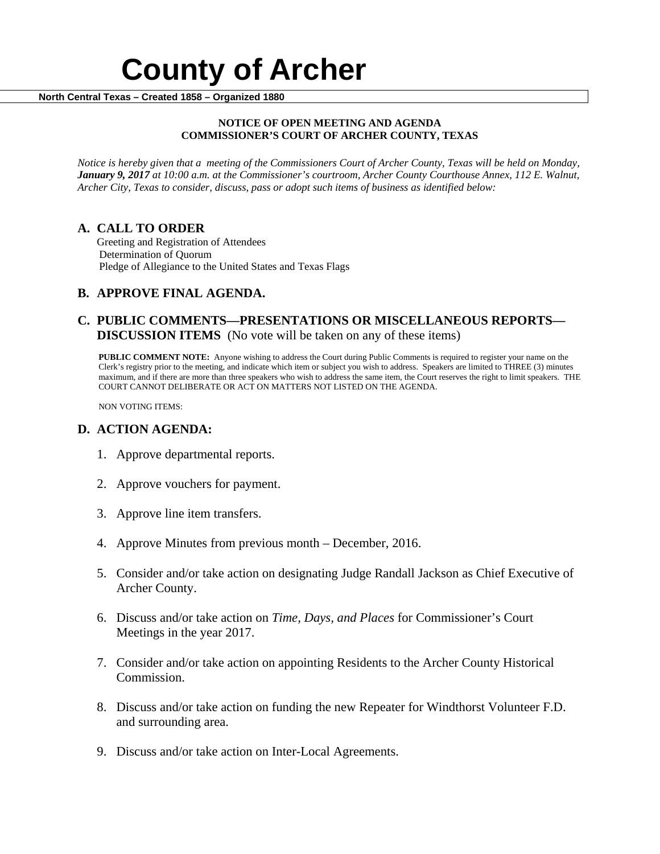# **County of Archer North Central Texas – Created 1858 – Organized 1880**

#### **NOTICE OF OPEN MEETING AND AGENDA COMMISSIONER'S COURT OF ARCHER COUNTY, TEXAS**

*Notice is hereby given that a meeting of the Commissioners Court of Archer County, Texas will be held on Monday, January 9, 2017 at 10:00 a.m. at the Commissioner's courtroom, Archer County Courthouse Annex, 112 E. Walnut, Archer City, Texas to consider, discuss, pass or adopt such items of business as identified below:*

**A. CALL TO ORDER** Greeting and Registration of Attendees Determination of Quorum Pledge of Allegiance to the United States and Texas Flags

## **B. APPROVE FINAL AGENDA.**

### **C. PUBLIC COMMENTS—PRESENTATIONS OR MISCELLANEOUS REPORTS— DISCUSSION ITEMS** (No vote will be taken on any of these items)

**PUBLIC COMMENT NOTE:** Anyone wishing to address the Court during Public Comments is required to register your name on the Clerk's registry prior to the meeting, and indicate which item or subject you wish to address. Speakers are limited to THREE (3) minutes maximum, and if there are more than three speakers who wish to address the same item, the Court reserves the right to limit speakers. THE COURT CANNOT DELIBERATE OR ACT ON MATTERS NOT LISTED ON THE AGENDA.

NON VOTING ITEMS:

#### **D. ACTION AGENDA:**

- 1. Approve departmental reports.
- 2. Approve vouchers for payment.
- 3. Approve line item transfers.
- 4. Approve Minutes from previous month December, 2016.
- 5. Consider and/or take action on designating Judge Randall Jackson as Chief Executive of Archer County.
- 6. Discuss and/or take action on *Time, Days, and Places* for Commissioner's Court Meetings in the year 2017.
- 7. Consider and/or take action on appointing Residents to the Archer County Historical Commission.
- 8. Discuss and/or take action on funding the new Repeater for Windthorst Volunteer F.D. and surrounding area.
- 9. Discuss and/or take action on Inter-Local Agreements.